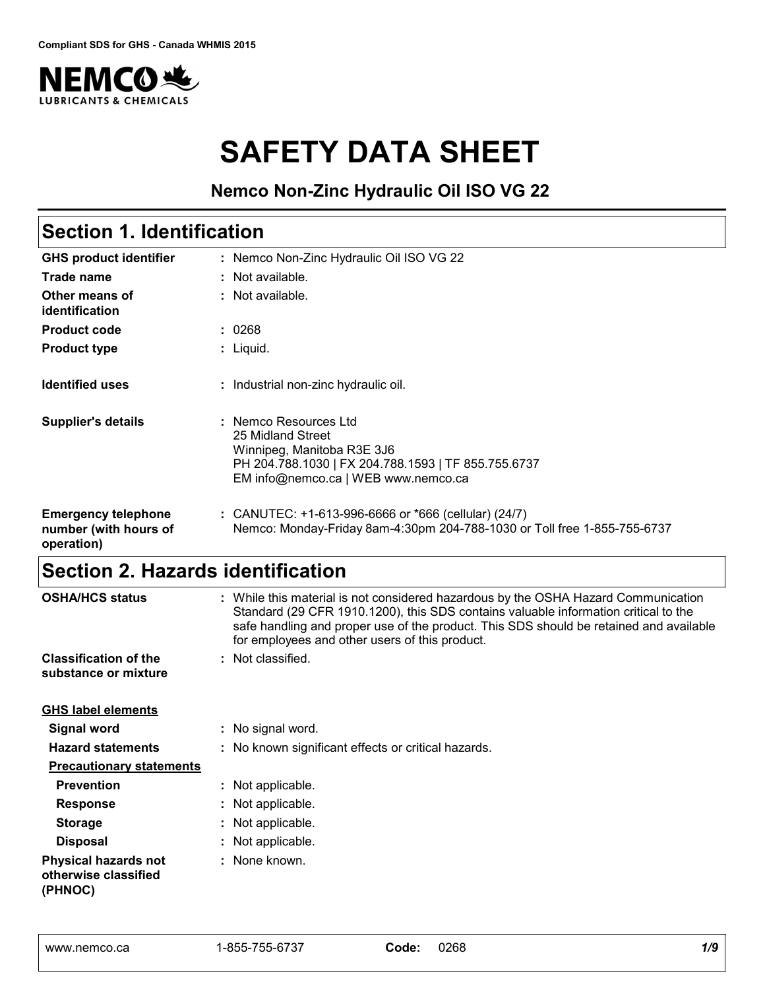

# **SAFETY DATA SHEET**

### **Nemco Non-Zinc Hydraulic Oil ISO VG 22**

#### Nemco Non-Zinc Hydraulic Oil ISO VG 22 **:** Not available. **:** Liquid. **: GHS product identifier Other means of identification Product type Section 1. Identification Trade name :** Not available. **Product code :** 0268 **Identified uses Emergency telephone number (with hours of operation) :** CANUTEC: +1-613-996-6666 or \*666 (cellular) (24/7) : Industrial non-zinc hydraulic oil. Nemco: Monday-Friday 8am-4:30pm 204-788-1030 or Toll free 1-855-755-6737 **Supplier's details :** Nemco Resources Ltd 25 Midland Street Winnipeg, Manitoba R3E 3J6 PH 204.788.1030 | FX 204.788.1593 | TF 855.755.6737 EM info@nemco.ca | WEB www.nemco.ca

### **Section 2. Hazards identification**

| <b>OSHA/HCS status</b>                                         | : While this material is not considered hazardous by the OSHA Hazard Communication<br>Standard (29 CFR 1910.1200), this SDS contains valuable information critical to the<br>safe handling and proper use of the product. This SDS should be retained and available<br>for employees and other users of this product. |  |  |  |  |  |  |
|----------------------------------------------------------------|-----------------------------------------------------------------------------------------------------------------------------------------------------------------------------------------------------------------------------------------------------------------------------------------------------------------------|--|--|--|--|--|--|
| <b>Classification of the</b><br>substance or mixture           | : Not classified.                                                                                                                                                                                                                                                                                                     |  |  |  |  |  |  |
| <b>GHS label elements</b>                                      |                                                                                                                                                                                                                                                                                                                       |  |  |  |  |  |  |
| <b>Signal word</b>                                             | : No signal word.                                                                                                                                                                                                                                                                                                     |  |  |  |  |  |  |
| <b>Hazard statements</b>                                       | : No known significant effects or critical hazards.                                                                                                                                                                                                                                                                   |  |  |  |  |  |  |
| <b>Precautionary statements</b>                                |                                                                                                                                                                                                                                                                                                                       |  |  |  |  |  |  |
| <b>Prevention</b>                                              | : Not applicable.                                                                                                                                                                                                                                                                                                     |  |  |  |  |  |  |
| <b>Response</b>                                                | : Not applicable.                                                                                                                                                                                                                                                                                                     |  |  |  |  |  |  |
| <b>Storage</b>                                                 | : Not applicable.                                                                                                                                                                                                                                                                                                     |  |  |  |  |  |  |
| <b>Disposal</b>                                                | : Not applicable.                                                                                                                                                                                                                                                                                                     |  |  |  |  |  |  |
| <b>Physical hazards not</b><br>otherwise classified<br>(PHNOC) | : None known.                                                                                                                                                                                                                                                                                                         |  |  |  |  |  |  |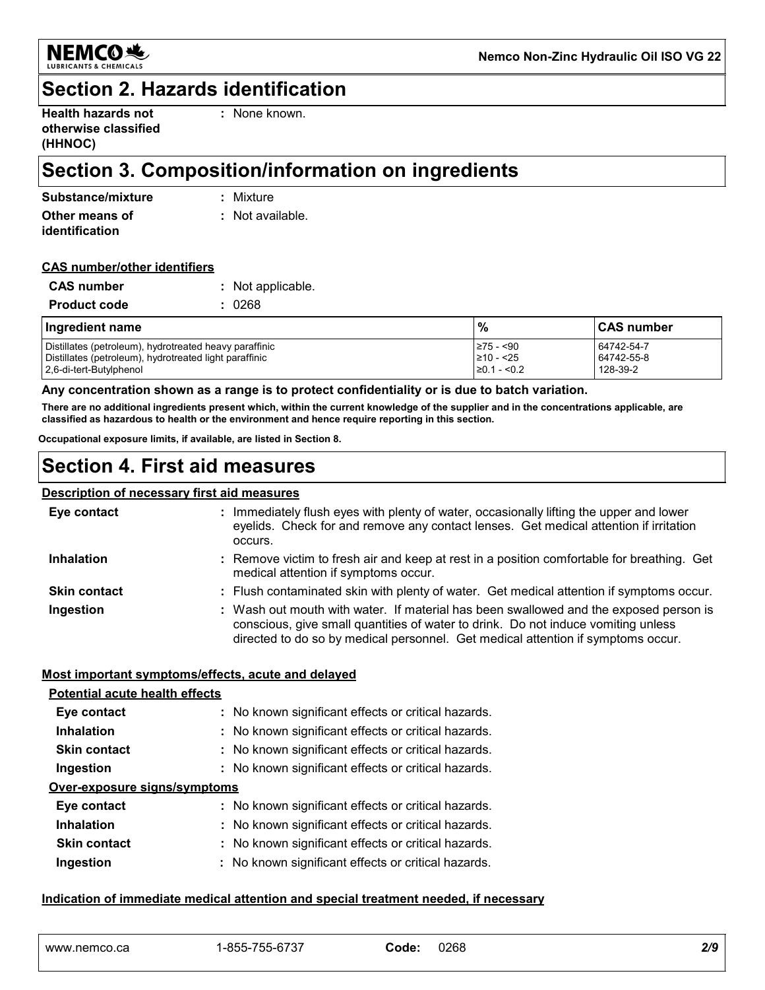

### **Section 2. Hazards identification**

| <b>Health hazards not</b> |  |
|---------------------------|--|
| otherwise classified      |  |
| (HHNOC)                   |  |

**:** None known.

### **Section 3. Composition/information on ingredients**

| Substance/mixture | : Mixture        |
|-------------------|------------------|
| Other means of    | : Not available. |
| identification    |                  |

#### **CAS number/other identifiers**

| <b>CAS</b> number   | : Not applicable. |
|---------------------|-------------------|
| <b>Product code</b> | : 0268            |

| Ingredient name                                                                                                  | %                            | <b>CAS number</b>        |
|------------------------------------------------------------------------------------------------------------------|------------------------------|--------------------------|
| Distillates (petroleum), hydrotreated heavy paraffinic<br>Distillates (petroleum), hydrotreated light paraffinic | I≥75 - <90<br>$\geq 10 - 25$ | 64742-54-7<br>64742-55-8 |
| 2.6-di-tert-Butylphenol                                                                                          | $\geq 0.1 - 0.2$             | 128-39-2                 |

#### **Any concentration shown as a range is to protect confidentiality or is due to batch variation.**

**There are no additional ingredients present which, within the current knowledge of the supplier and in the concentrations applicable, are classified as hazardous to health or the environment and hence require reporting in this section.**

**Occupational exposure limits, if available, are listed in Section 8.**

### **Section 4. First aid measures**

#### **Description of necessary first aid measures**

| Eye contact         | : Immediately flush eyes with plenty of water, occasionally lifting the upper and lower<br>eyelids. Check for and remove any contact lenses. Get medical attention if irritation<br>occurs.                                                                    |
|---------------------|----------------------------------------------------------------------------------------------------------------------------------------------------------------------------------------------------------------------------------------------------------------|
| <b>Inhalation</b>   | : Remove victim to fresh air and keep at rest in a position comfortable for breathing. Get<br>medical attention if symptoms occur.                                                                                                                             |
| <b>Skin contact</b> | : Flush contaminated skin with plenty of water. Get medical attention if symptoms occur.                                                                                                                                                                       |
| Ingestion           | : Wash out mouth with water. If material has been swallowed and the exposed person is<br>conscious, give small quantities of water to drink. Do not induce vomiting unless<br>directed to do so by medical personnel. Get medical attention if symptoms occur. |

#### **Most important symptoms/effects, acute and delayed**

| Potential acute health effects |                                                     |
|--------------------------------|-----------------------------------------------------|
| Eye contact                    | : No known significant effects or critical hazards. |
| <b>Inhalation</b>              | : No known significant effects or critical hazards. |
| <b>Skin contact</b>            | : No known significant effects or critical hazards. |
| Ingestion                      | : No known significant effects or critical hazards. |
| Over-exposure signs/symptoms   |                                                     |
| Eye contact                    | : No known significant effects or critical hazards. |
| <b>Inhalation</b>              | : No known significant effects or critical hazards. |
| <b>Skin contact</b>            | : No known significant effects or critical hazards. |
| Ingestion                      | : No known significant effects or critical hazards. |

#### **Indication of immediate medical attention and special treatment needed, if necessary**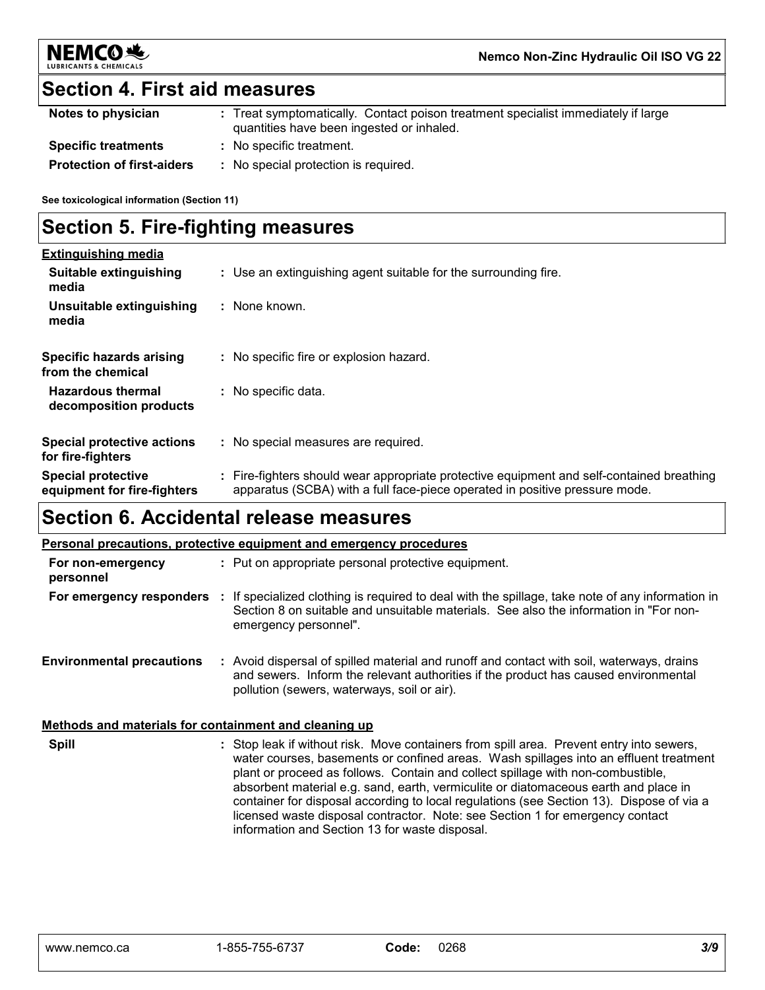

### **Section 4. First aid measures**

| Notes to physician                | : Treat symptomatically. Contact poison treatment specialist immediately if large<br>quantities have been ingested or inhaled. |
|-----------------------------------|--------------------------------------------------------------------------------------------------------------------------------|
| <b>Specific treatments</b>        | : No specific treatment.                                                                                                       |
| <b>Protection of first-aiders</b> | No special protection is required.                                                                                             |

**See toxicological information (Section 11)**

### **Section 5. Fire-fighting measures**

| <b>Extinguishing media</b>                               |                                                                                                                                                                          |
|----------------------------------------------------------|--------------------------------------------------------------------------------------------------------------------------------------------------------------------------|
| Suitable extinguishing<br>media                          | : Use an extinguishing agent suitable for the surrounding fire.                                                                                                          |
| Unsuitable extinguishing<br>media                        | : None known.                                                                                                                                                            |
| Specific hazards arising<br>from the chemical            | No specific fire or explosion hazard.                                                                                                                                    |
| <b>Hazardous thermal</b><br>decomposition products       | : No specific data.                                                                                                                                                      |
| <b>Special protective actions</b><br>for fire-fighters   | : No special measures are required.                                                                                                                                      |
| <b>Special protective</b><br>equipment for fire-fighters | : Fire-fighters should wear appropriate protective equipment and self-contained breathing<br>apparatus (SCBA) with a full face-piece operated in positive pressure mode. |

### **Section 6. Accidental release measures**

#### **Personal precautions, protective equipment and emergency procedures**

| For non-emergency<br>personnel                        | : Put on appropriate personal protective equipment.                                                                                                                                                                                                                                                                                                                                                                                                                                                                                                                                        |  |  |  |  |  |  |
|-------------------------------------------------------|--------------------------------------------------------------------------------------------------------------------------------------------------------------------------------------------------------------------------------------------------------------------------------------------------------------------------------------------------------------------------------------------------------------------------------------------------------------------------------------------------------------------------------------------------------------------------------------------|--|--|--|--|--|--|
| For emergency responders                              | : If specialized clothing is required to deal with the spillage, take note of any information in<br>Section 8 on suitable and unsuitable materials. See also the information in "For non-<br>emergency personnel".                                                                                                                                                                                                                                                                                                                                                                         |  |  |  |  |  |  |
| <b>Environmental precautions</b>                      | : Avoid dispersal of spilled material and runoff and contact with soil, waterways, drains<br>and sewers. Inform the relevant authorities if the product has caused environmental<br>pollution (sewers, waterways, soil or air).                                                                                                                                                                                                                                                                                                                                                            |  |  |  |  |  |  |
| Methods and materials for containment and cleaning up |                                                                                                                                                                                                                                                                                                                                                                                                                                                                                                                                                                                            |  |  |  |  |  |  |
| <b>Spill</b>                                          | : Stop leak if without risk. Move containers from spill area. Prevent entry into sewers,<br>water courses, basements or confined areas. Wash spillages into an effluent treatment<br>plant or proceed as follows. Contain and collect spillage with non-combustible,<br>absorbent material e.g. sand, earth, vermiculite or diatomaceous earth and place in<br>container for disposal according to local regulations (see Section 13). Dispose of via a<br>licensed waste disposal contractor. Note: see Section 1 for emergency contact<br>information and Section 13 for waste disposal. |  |  |  |  |  |  |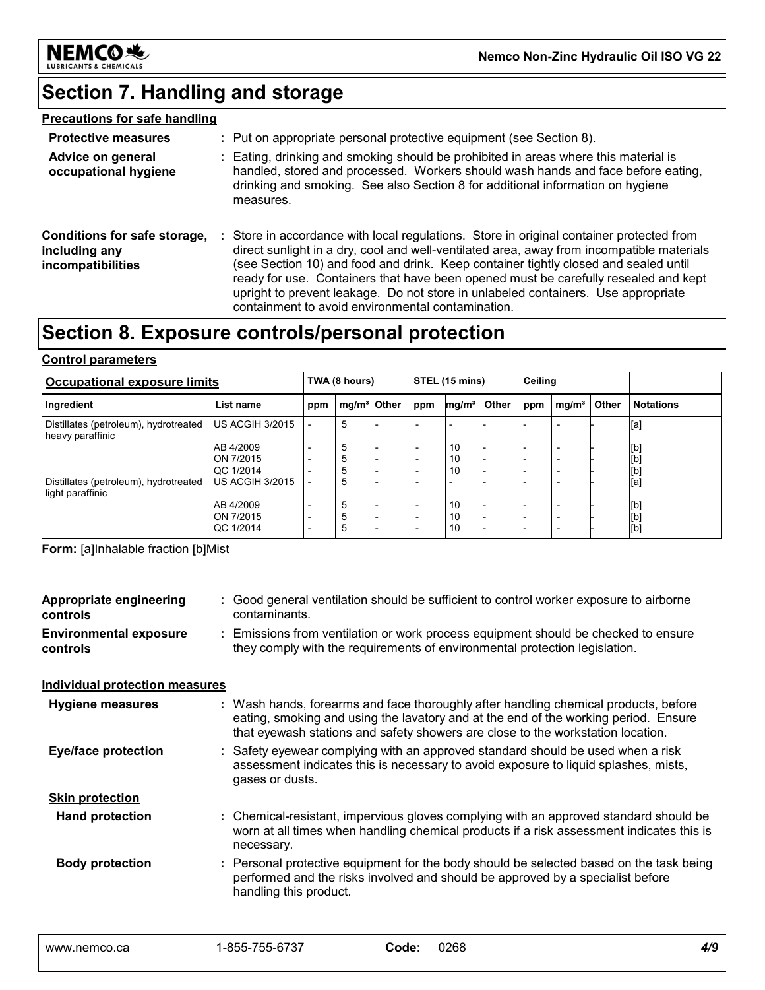

### **Section 7. Handling and storage**

### **Precautions for safe handling**

| <b>Protective measures</b>                                                |    | : Put on appropriate personal protective equipment (see Section 8).                                                                                                                                                                                                                                                                                                                                                                                                                                         |
|---------------------------------------------------------------------------|----|-------------------------------------------------------------------------------------------------------------------------------------------------------------------------------------------------------------------------------------------------------------------------------------------------------------------------------------------------------------------------------------------------------------------------------------------------------------------------------------------------------------|
| Advice on general<br>occupational hygiene                                 | ÷. | Eating, drinking and smoking should be prohibited in areas where this material is<br>handled, stored and processed. Workers should wash hands and face before eating,<br>drinking and smoking. See also Section 8 for additional information on hygiene<br>measures.                                                                                                                                                                                                                                        |
| Conditions for safe storage,<br>including any<br><i>incompatibilities</i> |    | Store in accordance with local regulations. Store in original container protected from<br>direct sunlight in a dry, cool and well-ventilated area, away from incompatible materials<br>(see Section 10) and food and drink. Keep container tightly closed and sealed until<br>ready for use. Containers that have been opened must be carefully resealed and kept<br>upright to prevent leakage. Do not store in unlabeled containers. Use appropriate<br>containment to avoid environmental contamination. |

### **Section 8. Exposure controls/personal protection**

#### **Control parameters**

| Occupational exposure limits                              |                                |     | TWA (8 hours)           |  |                                                      | STEL (15 mins)    |       |     | Ceiling           |       |                  |
|-----------------------------------------------------------|--------------------------------|-----|-------------------------|--|------------------------------------------------------|-------------------|-------|-----|-------------------|-------|------------------|
| Ingredient                                                | List name                      | ppm | mg/m <sup>3</sup> Other |  | ppm                                                  | mg/m <sup>3</sup> | Other | ppm | mg/m <sup>3</sup> | Other | <b>Notations</b> |
| Distillates (petroleum), hydrotreated<br>heavy paraffinic | <b>IUS ACGIH 3/2015</b>        |     | 5                       |  |                                                      |                   |       |     |                   |       | [a]              |
|                                                           | AB 4/2009                      |     | 5                       |  | $\overline{\phantom{0}}$                             | 10                |       |     |                   |       | [b]              |
|                                                           | <b>ON 7/2015</b><br>QC 1/2014  |     |                         |  | $\overline{\phantom{0}}$<br>$\overline{\phantom{a}}$ | 10<br>10          |       |     |                   |       | [b]<br>[b]       |
| Distillates (petroleum), hydrotreated<br>light paraffinic | <b>US ACGIH 3/2015</b>         |     | 5                       |  |                                                      |                   |       |     |                   |       | [a]              |
|                                                           | AB 4/2009                      |     | 5                       |  | $\overline{\phantom{0}}$                             | 10                |       |     |                   |       | [b]              |
|                                                           | <b>ON 7/2015</b><br>IQC 1/2014 |     | 5<br>5                  |  | $\overline{\phantom{a}}$                             | 10<br>10          |       |     |                   |       | [b]<br>[b]       |

**Form:** [a]Inhalable fraction [b]Mist

| <b>Appropriate engineering</b><br>controls | Good general ventilation should be sufficient to control worker exposure to airborne<br>contaminants.                                                                                                                                                         |
|--------------------------------------------|---------------------------------------------------------------------------------------------------------------------------------------------------------------------------------------------------------------------------------------------------------------|
| <b>Environmental exposure</b><br>controls  | : Emissions from ventilation or work process equipment should be checked to ensure<br>they comply with the requirements of environmental protection legislation.                                                                                              |
| <b>Individual protection measures</b>      |                                                                                                                                                                                                                                                               |
| <b>Hygiene measures</b>                    | : Wash hands, forearms and face thoroughly after handling chemical products, before<br>eating, smoking and using the lavatory and at the end of the working period. Ensure<br>that eyewash stations and safety showers are close to the workstation location. |
| <b>Eye/face protection</b>                 | : Safety eyewear complying with an approved standard should be used when a risk<br>assessment indicates this is necessary to avoid exposure to liquid splashes, mists,<br>gases or dusts.                                                                     |
| <b>Skin protection</b>                     |                                                                                                                                                                                                                                                               |
| <b>Hand protection</b>                     | : Chemical-resistant, impervious gloves complying with an approved standard should be<br>worn at all times when handling chemical products if a risk assessment indicates this is<br>necessary.                                                               |
| <b>Body protection</b>                     | : Personal protective equipment for the body should be selected based on the task being<br>performed and the risks involved and should be approved by a specialist before<br>handling this product.                                                           |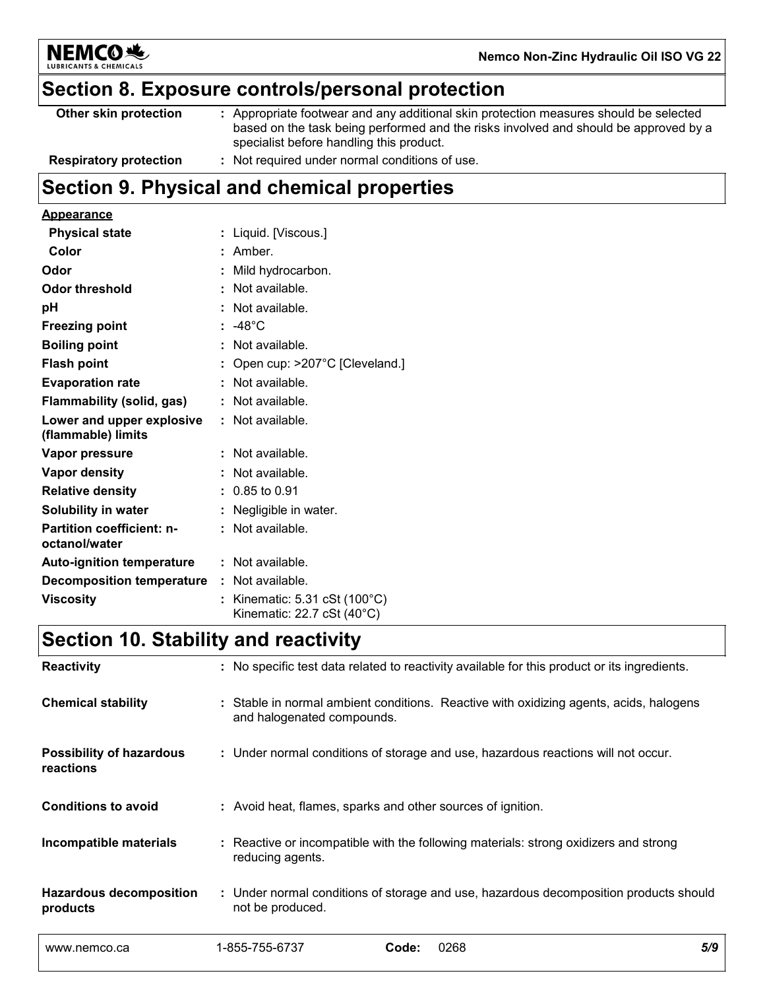

### **Section 8. Exposure controls/personal protection**

| Other skin protection         | : Appropriate footwear and any additional skin protection measures should be selected<br>based on the task being performed and the risks involved and should be approved by a<br>specialist before handling this product. |
|-------------------------------|---------------------------------------------------------------------------------------------------------------------------------------------------------------------------------------------------------------------------|
| <b>Respiratory protection</b> | : Not required under normal conditions of use.                                                                                                                                                                            |

## **Section 9. Physical and chemical properties**

### **Appearance**

| <b>Physical state</b>                             | : Liquid. [Viscous.]                                                                 |
|---------------------------------------------------|--------------------------------------------------------------------------------------|
| Color                                             | : Amber.                                                                             |
| Odor                                              | : Mild hydrocarbon.                                                                  |
| Odor threshold                                    | : Not available.                                                                     |
| рH                                                | : Not available.                                                                     |
| <b>Freezing point</b>                             | $: -48^{\circ}$ C                                                                    |
| <b>Boiling point</b>                              | : Not available.                                                                     |
| <b>Flash point</b>                                | : Open cup: $>207^{\circ}$ C [Cleveland.]                                            |
| <b>Evaporation rate</b>                           | : Not available.                                                                     |
| Flammability (solid, gas)                         | : Not available.                                                                     |
| Lower and upper explosive<br>(flammable) limits   | $:$ Not available.                                                                   |
| Vapor pressure                                    | : Not available.                                                                     |
| Vapor density                                     | : Not available.                                                                     |
| <b>Relative density</b>                           | $: 0.85$ to 0.91                                                                     |
| <b>Solubility in water</b>                        | : Negligible in water.                                                               |
| <b>Partition coefficient: n-</b><br>octanol/water | : Not available.                                                                     |
| <b>Auto-ignition temperature</b>                  | : Not available.                                                                     |
| <b>Decomposition temperature : Not available.</b> |                                                                                      |
| <b>Viscosity</b>                                  | : Kinematic: $5.31 \text{ cSt} (100^{\circ} \text{C})$<br>Kinematic: 22.7 cSt (40°C) |

### **Section 10. Stability and reactivity**

| <b>Reactivity</b>                            |                                                                                                           | : No specific test data related to reactivity available for this product or its ingredients. |     |
|----------------------------------------------|-----------------------------------------------------------------------------------------------------------|----------------------------------------------------------------------------------------------|-----|
| <b>Chemical stability</b>                    | and halogenated compounds.                                                                                | : Stable in normal ambient conditions. Reactive with oxidizing agents, acids, halogens       |     |
| <b>Possibility of hazardous</b><br>reactions |                                                                                                           | : Under normal conditions of storage and use, hazardous reactions will not occur.            |     |
| <b>Conditions to avoid</b>                   | : Avoid heat, flames, sparks and other sources of ignition.                                               |                                                                                              |     |
| Incompatible materials                       | reducing agents.                                                                                          | : Reactive or incompatible with the following materials: strong oxidizers and strong         |     |
| <b>Hazardous decomposition</b><br>products   | : Under normal conditions of storage and use, hazardous decomposition products should<br>not be produced. |                                                                                              |     |
| www.nemco.ca                                 | 1-855-755-6737                                                                                            | 0268<br>Code:                                                                                | 5/9 |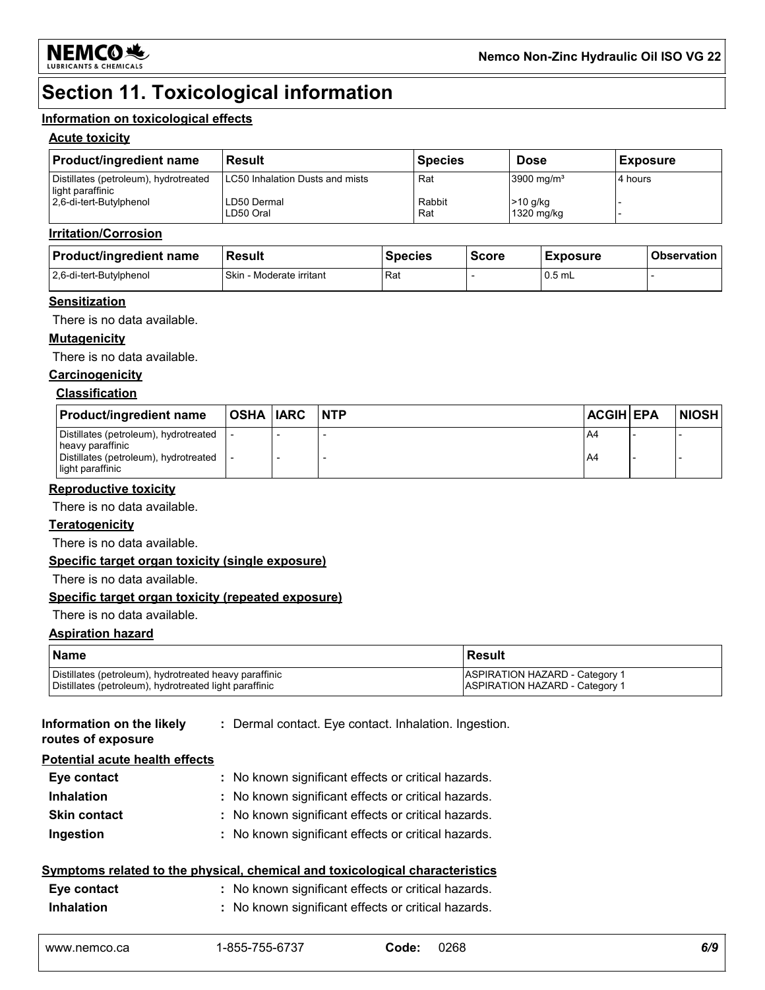

### **Section 11. Toxicological information**

#### **Information on toxicological effects**

#### **Acute toxicity**

| <b>Product/ingredient name</b>                            | <b>Result</b>                   | <b>Species</b> | <b>Dose</b>              | <b>Exposure</b> |
|-----------------------------------------------------------|---------------------------------|----------------|--------------------------|-----------------|
| Distillates (petroleum), hydrotreated<br>light paraffinic | LC50 Inhalation Dusts and mists | Rat            | 3900 mg/ $m3$            | 4 hours         |
| 2.6-di-tert-Butylphenol                                   | LD50 Dermal<br>LD50 Oral        | Rabbit<br>Rat  | $>10$ g/kg<br>1320 mg/kg |                 |

#### **Irritation/Corrosion**

| <b>Product/ingredient name</b> | Result                        | <b>Species</b> | <b>Score</b> | <b>Exposure</b> | <b>Observation</b> |
|--------------------------------|-------------------------------|----------------|--------------|-----------------|--------------------|
| 2,6-di-tert-Butylphenol        | Skin<br>ı - Moderate irritant | Rat            |              | $0.5$ mL        |                    |

#### **Sensitization**

There is no data available.

#### **Mutagenicity**

There is no data available.

### **Carcinogenicity**

#### **Classification**

| <b>Product/ingredient name</b>                            | OSHA  IARC | <b>INTP</b> | <b>ACGIH EPA</b> | <b>NIOSH</b> |
|-----------------------------------------------------------|------------|-------------|------------------|--------------|
| Distillates (petroleum), hydrotreated<br>heavy paraffinic |            |             | A4               |              |
| Distillates (petroleum), hydrotreated<br>light paraffinic |            |             | A4               |              |

#### **Reproductive toxicity**

There is no data available.

#### **Teratogenicity**

There is no data available.

#### **Specific target organ toxicity (single exposure)**

There is no data available.

#### **Specific target organ toxicity (repeated exposure)**

#### There is no data available.

#### **Aspiration hazard**

| <b>Name</b>                                            | l Result                              |
|--------------------------------------------------------|---------------------------------------|
| Distillates (petroleum), hydrotreated heavy paraffinic | ASPIRATION HAZARD - Category 1        |
| Distillates (petroleum), hydrotreated light paraffinic | <b>ASPIRATION HAZARD - Category 1</b> |

**Information on the likely routes of exposure**

**:** Dermal contact. Eye contact. Inhalation. Ingestion.

**Potential acute health effects**

| I Olontial acute Health Gheets |                                                     |
|--------------------------------|-----------------------------------------------------|
| Eye contact                    | : No known significant effects or critical hazards. |
| <b>Inhalation</b>              | : No known significant effects or critical hazards. |
| <b>Skin contact</b>            | : No known significant effects or critical hazards. |
| Ingestion                      | : No known significant effects or critical hazards. |

#### **Symptoms related to the physical, chemical and toxicological characteristics**

| Eye contact       | : No known significant effects or critical hazards. |
|-------------------|-----------------------------------------------------|
| <b>Inhalation</b> | : No known significant effects or critical hazards. |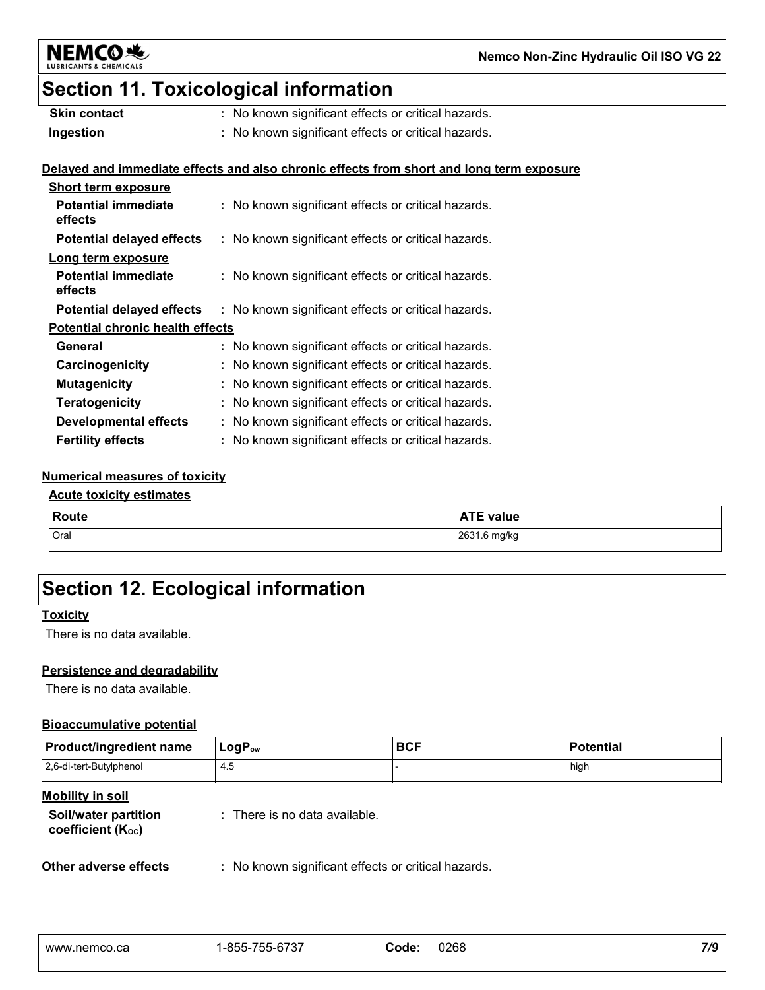

### **Section 11. Toxicological information**

| <b>Skin contact</b> | : No known significant effects or critical hazards. |
|---------------------|-----------------------------------------------------|
| Ingestion           | : No known significant effects or critical hazards. |

### **Delayed and immediate effects and also chronic effects from short and long term exposure**

| <b>Short term exposure</b>              |                                                     |
|-----------------------------------------|-----------------------------------------------------|
| <b>Potential immediate</b><br>effects   | : No known significant effects or critical hazards. |
| <b>Potential delayed effects</b>        | : No known significant effects or critical hazards. |
| Long term exposure                      |                                                     |
| <b>Potential immediate</b><br>effects   | : No known significant effects or critical hazards. |
| <b>Potential delayed effects</b>        | : No known significant effects or critical hazards. |
| <b>Potential chronic health effects</b> |                                                     |
| General                                 | : No known significant effects or critical hazards. |
| Carcinogenicity                         | : No known significant effects or critical hazards. |
| <b>Mutagenicity</b>                     | : No known significant effects or critical hazards. |
| <b>Teratogenicity</b>                   | : No known significant effects or critical hazards. |
| Developmental effects                   | : No known significant effects or critical hazards. |
| <b>Fertility effects</b>                | : No known significant effects or critical hazards. |

#### **Numerical measures of toxicity**

#### **Acute toxicity estimates**

| Route | <b>ATE value</b> |
|-------|------------------|
| Oral  | 2631.6 mg/kg     |

### **Section 12. Ecological information**

#### **Toxicity**

There is no data available.

#### **Persistence and degradability**

There is no data available.

#### **Bioaccumulative potential**

| <b>Product/ingredient name</b> | $LogP_{ow}$ | <b>BCF</b> | <b>Potential</b> |
|--------------------------------|-------------|------------|------------------|
| 2.6-di-tert-Butylphenol        | -4.5        |            | high             |

#### **Mobility in soil**

| Soil/water partition   | : There is no data available. |
|------------------------|-------------------------------|
| coefficient $(K_{oc})$ |                               |

**Other adverse effects** : No known significant effects or critical hazards.

| www.nemco.ca |  |
|--------------|--|
|--------------|--|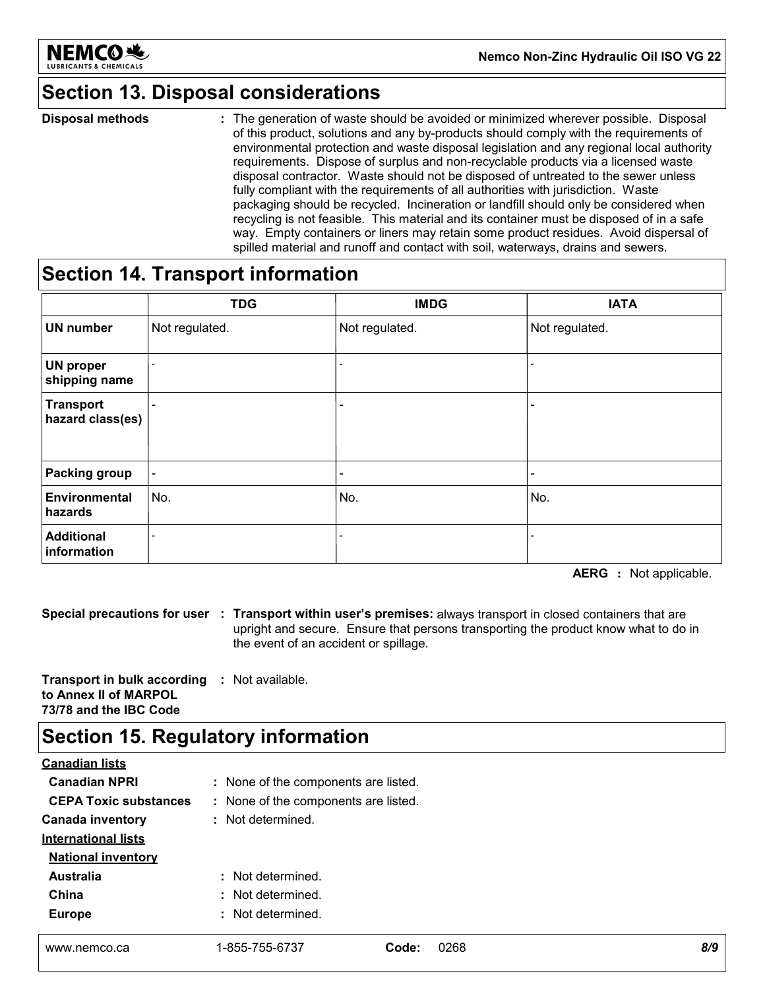

### **Section 13. Disposal considerations**

The generation of waste should be avoided or minimized wherever possible. Disposal of this product, solutions and any by-products should comply with the requirements of environmental protection and waste disposal legislation and any regional local authority requirements. Dispose of surplus and non-recyclable products via a licensed waste disposal contractor. Waste should not be disposed of untreated to the sewer unless fully compliant with the requirements of all authorities with jurisdiction. Waste packaging should be recycled. Incineration or landfill should only be considered when recycling is not feasible. This material and its container must be disposed of in a safe way. Empty containers or liners may retain some product residues. Avoid dispersal of spilled material and runoff and contact with soil, waterways, drains and sewers. **Disposal methods :**

### **Section 14. Transport information**

|                                      | <b>TDG</b>               | <b>IMDG</b>                  | <b>IATA</b>                  |
|--------------------------------------|--------------------------|------------------------------|------------------------------|
| <b>UN number</b>                     | Not regulated.           | Not regulated.               | Not regulated.               |
| <b>UN proper</b><br>shipping name    |                          | $\qquad \qquad \blacksquare$ |                              |
| <b>Transport</b><br>hazard class(es) | $\overline{\phantom{0}}$ | $\qquad \qquad \blacksquare$ |                              |
| <b>Packing group</b>                 | $\blacksquare$           | $\overline{\phantom{0}}$     | $\qquad \qquad \blacksquare$ |
| Environmental<br>hazards             | No.                      | No.                          | No.                          |
| <b>Additional</b><br>information     | $\overline{\phantom{a}}$ |                              |                              |

**AERG :** Not applicable.

**Special precautions for user Transport within user's premises:** always transport in closed containers that are **:** upright and secure. Ensure that persons transporting the product know what to do in the event of an accident or spillage.

**Transport in bulk according :** Not available. **to Annex II of MARPOL 73/78 and the IBC Code**

### **Section 15. Regulatory information**

| <b>Canadian lists</b>        |                                      |               |     |
|------------------------------|--------------------------------------|---------------|-----|
| <b>Canadian NPRI</b>         | : None of the components are listed. |               |     |
| <b>CEPA Toxic substances</b> | : None of the components are listed. |               |     |
| <b>Canada inventory</b>      | : Not determined.                    |               |     |
| <b>International lists</b>   |                                      |               |     |
| <b>National inventory</b>    |                                      |               |     |
| <b>Australia</b>             | : Not determined.                    |               |     |
| China                        | : Not determined.                    |               |     |
| <b>Europe</b>                | : Not determined.                    |               |     |
|                              |                                      |               |     |
| www.nemco.ca                 | 1-855-755-6737                       | 0268<br>Code: | 8/9 |